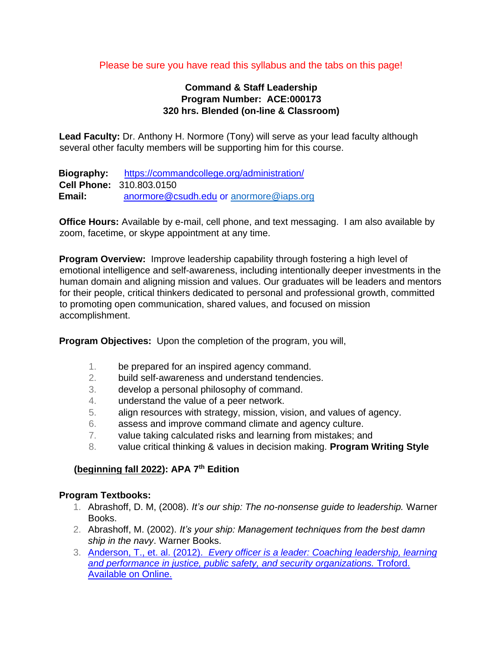#### Please be sure you have read this syllabus and the tabs on this page!

### **Command & Staff Leadership Program Number: ACE:000173 320 hrs. Blended (on-line & Classroom)**

**Lead Faculty:** Dr. Anthony H. Normore (Tony) will serve as your lead faculty although several other faculty members will be supporting him for this course.

**Biography:** <https://commandcollege.org/administration/> **Cell Phone:** 310.803.0150 **Email:** anormore@csudh.edu or anormore@iaps.org

**Office Hours:** Available by e-mail, cell phone, and text messaging. I am also available by zoom, facetime, or skype appointment at any time.

**Program Overview:** Improve leadership capability through fostering a high level of emotional intelligence and self-awareness, including intentionally deeper investments in the human domain and aligning mission and values. Our graduates will be leaders and mentors for their people, critical thinkers dedicated to personal and professional growth, committed to promoting open communication, shared values, and focused on mission accomplishment.

**Program Objectives:** Upon the completion of the program, you will,

- 1. be prepared for an inspired agency command.
- 2. build self-awareness and understand tendencies.
- 3. develop a personal philosophy of command.
- 4. understand the value of a peer network.
- 5. align resources with strategy, mission, vision, and values of agency.
- 6. assess and improve command climate and agency culture.
- 7. value taking calculated risks and learning from mistakes; and
- 8. value critical thinking & values in decision making. **Program Writing Style**

# **(beginning fall 2022): APA 7th Edition**

#### **Program Textbooks:**

- 1. Abrashoff, D. M, (2008). *It's our ship: The no-nonsense guide to leadership.* Warner Books.
- 2. Abrashoff, M. (2002). *It's your ship: Management techniques from the best damn ship in the navy*. Warner Books.
- 3. [Anderson, T., et. al. \(2012\).](https://acebase.commandcollege.org/wp-content/uploads/2019/10/E-O-L.pdf) *[Every officer is a leader: Coaching leadership, learning](https://acebase.commandcollege.org/wp-content/uploads/2019/10/E-O-L.pdf) [and performance in justice, public safety, and security organizations.](https://acebase.commandcollege.org/wp-content/uploads/2019/10/E-O-L.pdf)* [Troford.](https://acebase.commandcollege.org/wp-content/uploads/2019/10/E-O-L.pdf) [Available on Online.](https://acebase.commandcollege.org/wp-content/uploads/2019/10/E-O-L.pdf)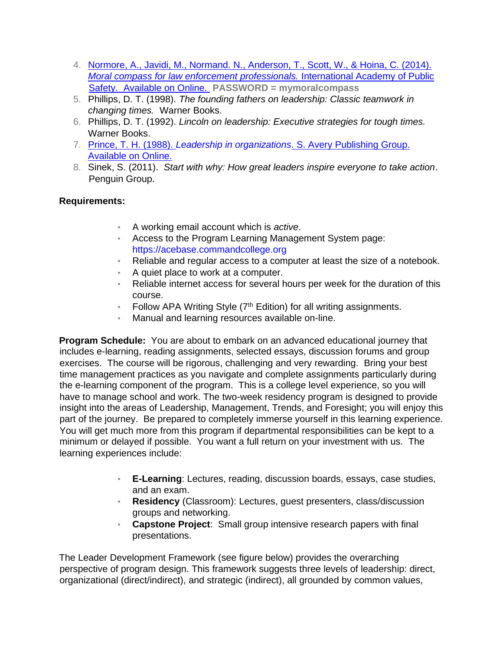- 4. [Normore, A., Javidi, M., Normand. N., Anderson, T., Scott, W., & Hoina, C. \(2014\).](https://acebase.commandcollege.org/wp-content/uploads/2019/07/Moral-Compass-Book.pdf) *[Moral compass for law enforcement professionals.](https://acebase.commandcollege.org/wp-content/uploads/2019/07/Moral-Compass-Book.pdf)* [International Academy of Public](https://acebase.commandcollege.org/wp-content/uploads/2019/07/Moral-Compass-Book.pdf) [Safety. Available on Online.](https://acebase.commandcollege.org/wp-content/uploads/2019/07/Moral-Compass-Book.pdf) **[P](https://acebase.commandcollege.org/wp-content/uploads/2019/07/Moral-Compass-Book.pdf)ASSWORD = mymoralcompass**
- 5. Phillips, D. T. (1998). *The founding fathers on leadership: Classic teamwork in changing times.* Warner Books.
- 6. Phillips, D. T. (1992). *Lincoln on leadership: Executive strategies for tough times.*  Warner Books.
- 7. [Prince, T. H. \(1988\).](https://acebase.commandcollege.org/the-manual/) *[Leadership in organizations](https://acebase.commandcollege.org/the-manual/)*[. S. Avery Publishing Group.](https://acebase.commandcollege.org/the-manual/) [Available on Online.](https://acebase.commandcollege.org/the-manual/)
- 8. Sinek, S. (2011). *Start with why: How great leaders inspire everyone to take action*. Penguin Group.

# **Requirements:**

- A working email account which is *active*.
- Access to the Program Learning Management System page: https://acebase.commandcollege.org
- Reliable and regular access to a computer at least the size of a notebook.
- A quiet place to work at a computer.
- Reliable internet access for several hours per week for the duration of this course.
- Follow APA Writing Style  $(7<sup>th</sup> Edition)$  for all writing assignments.
- Manual and learning resources available on-line.

**Program Schedule:** You are about to embark on an advanced educational journey that includes e-learning, reading assignments, selected essays, discussion forums and group exercises. The course will be rigorous, challenging and very rewarding. Bring your best time management practices as you navigate and complete assignments particularly during the e-learning component of the program. This is a college level experience, so you will have to manage school and work. The two-week residency program is designed to provide insight into the areas of Leadership, Management, Trends, and Foresight; you will enjoy this part of the journey. Be prepared to completely immerse yourself in this learning experience. You will get much more from this program if departmental responsibilities can be kept to a minimum or delayed if possible. You want a full return on your investment with us. The learning experiences include:

- **E-Learning**: Lectures, reading, discussion boards, essays, case studies, and an exam.
- **Residency** (Classroom): Lectures, guest presenters, class/discussion groups and networking.
- **Capstone Project**: Small group intensive research papers with final presentations.

The Leader Development Framework (see figure below) provides the overarching perspective of program design. This framework suggests three levels of leadership: direct, organizational (direct/indirect), and strategic (indirect), all grounded by common values,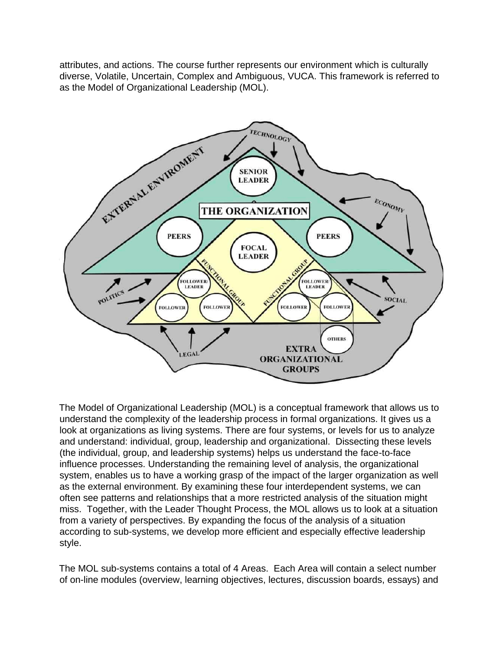attributes, and actions. The course further represents our environment which is culturally diverse, Volatile, Uncertain, Complex and Ambiguous, VUCA. This framework is referred to as the Model of Organizational Leadership (MOL).



The Model of Organizational Leadership (MOL) is a conceptual framework that allows us to understand the complexity of the leadership process in formal organizations. It gives us a look at organizations as living systems. There are four systems, or levels for us to analyze and understand: individual, group, leadership and organizational. Dissecting these levels (the individual, group, and leadership systems) helps us understand the face-to-face influence processes. Understanding the remaining level of analysis, the organizational system, enables us to have a working grasp of the impact of the larger organization as well as the external environment. By examining these four interdependent systems, we can often see patterns and relationships that a more restricted analysis of the situation might miss. Together, with the Leader Thought Process, the MOL allows us to look at a situation from a variety of perspectives. By expanding the focus of the analysis of a situation according to sub-systems, we develop more efficient and especially effective leadership style.

The MOL sub-systems contains a total of 4 Areas. Each Area will contain a select number of on-line modules (overview, learning objectives, lectures, discussion boards, essays) and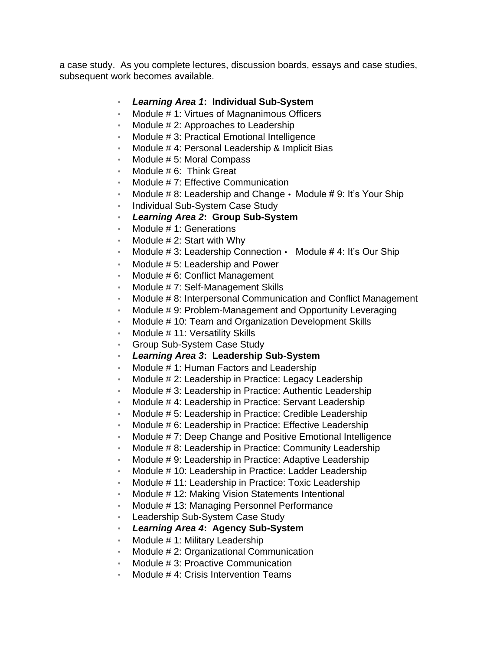a case study. As you complete lectures, discussion boards, essays and case studies, subsequent work becomes available.

### • *Learning Area 1***: Individual Sub-System**

- Module # 1: Virtues of Magnanimous Officers
- Module # 2: Approaches to Leadership
- Module # 3: Practical Emotional Intelligence
- Module #4: Personal Leadership & Implicit Bias
- Module # 5: Moral Compass
- Module # 6: Think Great
- Module # 7: Effective Communication
- Module  $# 8$ : Leadership and Change  $\cdot$  Module  $# 9$ : It's Your Ship
- Individual Sub-System Case Study
- *Learning Area 2***: Group Sub-System**
- Module #1: Generations
- Module  $# 2$ : Start with Why
- Module # 3: Leadership Connection Module # 4: It's Our Ship
- Module # 5: Leadership and Power
- Module # 6: Conflict Management
- Module #7: Self-Management Skills
- Module # 8: Interpersonal Communication and Conflict Management
- Module # 9: Problem-Management and Opportunity Leveraging
- Module # 10: Team and Organization Development Skills
- Module # 11: Versatility Skills
- Group Sub-System Case Study
- *Learning Area 3***: Leadership Sub-System**
- Module #1: Human Factors and Leadership
- Module # 2: Leadership in Practice: Legacy Leadership
- Module # 3: Leadership in Practice: Authentic Leadership
- Module # 4: Leadership in Practice: Servant Leadership
- Module # 5: Leadership in Practice: Credible Leadership
- Module # 6: Leadership in Practice: Effective Leadership
- Module # 7: Deep Change and Positive Emotional Intelligence
- Module # 8: Leadership in Practice: Community Leadership
- Module # 9: Leadership in Practice: Adaptive Leadership
- Module # 10: Leadership in Practice: Ladder Leadership
- Module # 11: Leadership in Practice: Toxic Leadership
- Module # 12: Making Vision Statements Intentional
- Module # 13: Managing Personnel Performance
- Leadership Sub-System Case Study
- *Learning Area 4***: Agency Sub-System**
- Module # 1: Military Leadership
- Module # 2: Organizational Communication
- Module # 3: Proactive Communication
- Module # 4: Crisis Intervention Teams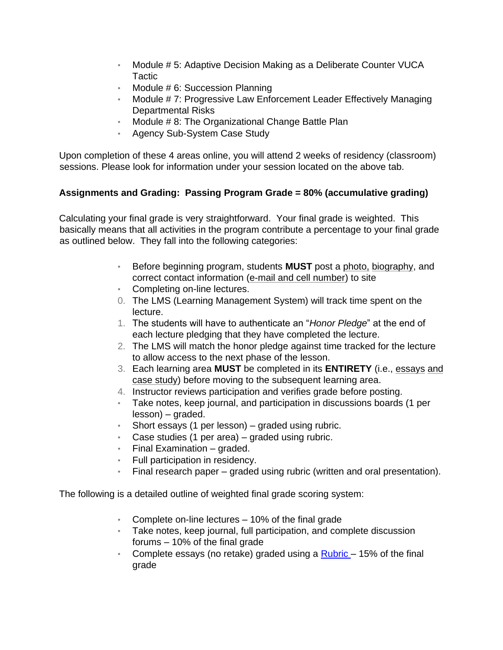- Module # 5: Adaptive Decision Making as a Deliberate Counter VUCA **Tactic**
- Module # 6: Succession Planning
- Module # 7: Progressive Law Enforcement Leader Effectively Managing Departmental Risks
- Module # 8: The Organizational Change Battle Plan
- Agency Sub-System Case Study

Upon completion of these 4 areas online, you will attend 2 weeks of residency (classroom) sessions. Please look for information under your session located on the above tab.

### **Assignments and Grading: Passing Program Grade = 80% (accumulative grading)**

Calculating your final grade is very straightforward. Your final grade is weighted. This basically means that all activities in the program contribute a percentage to your final grade as outlined below. They fall into the following categories:

- Before beginning program, students **MUST** post a photo, biography, and correct contact information (e-mail and cell number) to site
- Completing on-line lectures.
- 0. The LMS (Learning Management System) will track time spent on the lecture.
- 1. The students will have to authenticate an "*Honor Pledge*" at the end of each lecture pledging that they have completed the lecture.
- 2. The LMS will match the honor pledge against time tracked for the lecture to allow access to the next phase of the lesson.
- 3. Each learning area **MUST** be completed in its **ENTIRETY** (i.e., essays and case study) before moving to the subsequent learning area.
- 4. Instructor reviews participation and verifies grade before posting.
- Take notes, keep journal, and participation in discussions boards (1 per lesson) – graded.
- Short essays (1 per lesson) graded using rubric.
- Case studies (1 per area) graded using rubric.
- Final Examination graded.
- Full participation in residency.
- Final research paper graded using rubric (written and oral presentation).

The following is a detailed outline of weighted final grade scoring system:

- Complete on-line lectures 10% of the final grade
- Take notes, keep journal, full participation, and complete discussion forums – 10% of the final grade
- Complete ess[a](https://acebase.commandcollege.org/wp-content/uploads/2020/02/Rubric-for-Discussions-and-Essays-Command-and-Staff-Program.pdf)ys (no retake) graded using a [Rubric](https://acebase.commandcollege.org/wp-content/uploads/2020/02/Rubric-for-Discussions-and-Essays-Command-and-Staff-Program.pdf)  $-15%$  of the final grade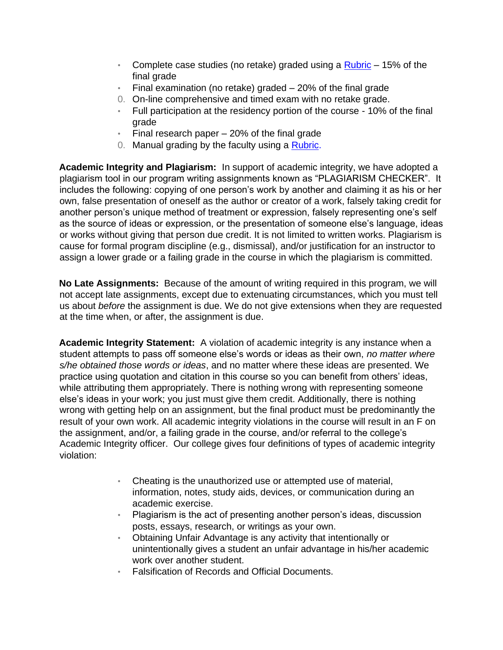- Complete c[a](https://acebase.commandcollege.org/wp-content/uploads/2019/08/2.-Rubric-for-Case-Study-Analysis-09.pdf)se studies (no retake) graded using a  $Rubic 15%$  of the final grade
- Final examination (no retake) graded  $-20\%$  of the final grade
- 0. On-line comprehensive and timed exam with no retake grade.
- Full participation at the residency portion of the course 10% of the final grade
- Final research paper 20% of the final grade
- 0. Manual grading by the faculty using a [Rubric.](https://acebase.commandcollege.org/wp-content/uploads/2019/10/Rubric-for-Research-Papers.pdf)

**Academic Integrity and Plagiarism:** In support of academic integrity, we have adopted a plagiarism tool in our program writing assignments known as "PLAGIARISM CHECKER". It includes the following: copying of one person's work by another and claiming it as his or her own, false presentation of oneself as the author or creator of a work, falsely taking credit for another person's unique method of treatment or expression, falsely representing one's self as the source of ideas or expression, or the presentation of someone else's language, ideas or works without giving that person due credit. It is not limited to written works. Plagiarism is cause for formal program discipline (e.g., dismissal), and/or justification for an instructor to assign a lower grade or a failing grade in the course in which the plagiarism is committed.

**No Late Assignments:** Because of the amount of writing required in this program, we will not accept late assignments, except due to extenuating circumstances, which you must tell us about *before* the assignment is due. We do not give extensions when they are requested at the time when, or after, the assignment is due.

**Academic Integrity Statement:** A violation of academic integrity is any instance when a student attempts to pass off someone else's words or ideas as their own, *no matter where s/he obtained those words or ideas*, and no matter where these ideas are presented. We practice using quotation and citation in this course so you can benefit from others' ideas, while attributing them appropriately. There is nothing wrong with representing someone else's ideas in your work; you just must give them credit. Additionally, there is nothing wrong with getting help on an assignment, but the final product must be predominantly the result of your own work. All academic integrity violations in the course will result in an F on the assignment, and/or, a failing grade in the course, and/or referral to the college's Academic Integrity officer. Our college gives four definitions of types of academic integrity violation:

- Cheating is the unauthorized use or attempted use of material, information, notes, study aids, devices, or communication during an academic exercise.
- Plagiarism is the act of presenting another person's ideas, discussion posts, essays, research, or writings as your own.
- Obtaining Unfair Advantage is any activity that intentionally or unintentionally gives a student an unfair advantage in his/her academic work over another student.
- Falsification of Records and Official Documents.